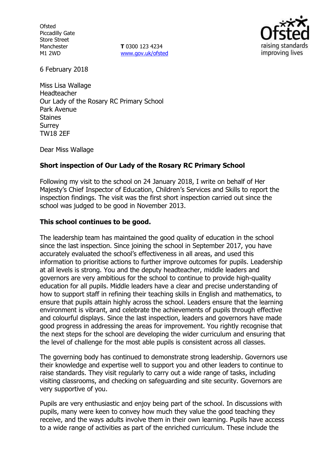**Ofsted** Piccadilly Gate Store Street Manchester M1 2WD

**T** 0300 123 4234 www.gov.uk/ofsted



6 February 2018

Miss Lisa Wallage Headteacher Our Lady of the Rosary RC Primary School Park Avenue Staines Surrey TW18 2EF

Dear Miss Wallage

## **Short inspection of Our Lady of the Rosary RC Primary School**

Following my visit to the school on 24 January 2018, I write on behalf of Her Majesty's Chief Inspector of Education, Children's Services and Skills to report the inspection findings. The visit was the first short inspection carried out since the school was judged to be good in November 2013.

## **This school continues to be good.**

The leadership team has maintained the good quality of education in the school since the last inspection. Since joining the school in September 2017, you have accurately evaluated the school's effectiveness in all areas, and used this information to prioritise actions to further improve outcomes for pupils. Leadership at all levels is strong. You and the deputy headteacher, middle leaders and governors are very ambitious for the school to continue to provide high-quality education for all pupils. Middle leaders have a clear and precise understanding of how to support staff in refining their teaching skills in English and mathematics, to ensure that pupils attain highly across the school. Leaders ensure that the learning environment is vibrant, and celebrate the achievements of pupils through effective and colourful displays. Since the last inspection, leaders and governors have made good progress in addressing the areas for improvement. You rightly recognise that the next steps for the school are developing the wider curriculum and ensuring that the level of challenge for the most able pupils is consistent across all classes.

The governing body has continued to demonstrate strong leadership. Governors use their knowledge and expertise well to support you and other leaders to continue to raise standards. They visit regularly to carry out a wide range of tasks, including visiting classrooms, and checking on safeguarding and site security. Governors are very supportive of you.

Pupils are very enthusiastic and enjoy being part of the school. In discussions with pupils, many were keen to convey how much they value the good teaching they receive, and the ways adults involve them in their own learning. Pupils have access to a wide range of activities as part of the enriched curriculum. These include the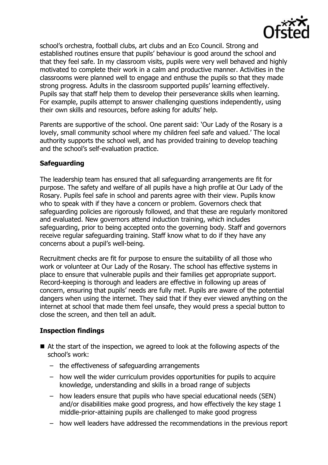

school's orchestra, football clubs, art clubs and an Eco Council. Strong and established routines ensure that pupils' behaviour is good around the school and that they feel safe. In my classroom visits, pupils were very well behaved and highly motivated to complete their work in a calm and productive manner. Activities in the classrooms were planned well to engage and enthuse the pupils so that they made strong progress. Adults in the classroom supported pupils' learning effectively. Pupils say that staff help them to develop their perseverance skills when learning. For example, pupils attempt to answer challenging questions independently, using their own skills and resources, before asking for adults' help.

Parents are supportive of the school. One parent said: 'Our Lady of the Rosary is a lovely, small community school where my children feel safe and valued.' The local authority supports the school well, and has provided training to develop teaching and the school's self-evaluation practice.

# **Safeguarding**

The leadership team has ensured that all safeguarding arrangements are fit for purpose. The safety and welfare of all pupils have a high profile at Our Lady of the Rosary. Pupils feel safe in school and parents agree with their view. Pupils know who to speak with if they have a concern or problem. Governors check that safeguarding policies are rigorously followed, and that these are regularly monitored and evaluated. New governors attend induction training, which includes safeguarding, prior to being accepted onto the governing body. Staff and governors receive regular safeguarding training. Staff know what to do if they have any concerns about a pupil's well-being.

Recruitment checks are fit for purpose to ensure the suitability of all those who work or volunteer at Our Lady of the Rosary. The school has effective systems in place to ensure that vulnerable pupils and their families get appropriate support. Record-keeping is thorough and leaders are effective in following up areas of concern, ensuring that pupils' needs are fully met. Pupils are aware of the potential dangers when using the internet. They said that if they ever viewed anything on the internet at school that made them feel unsafe, they would press a special button to close the screen, and then tell an adult.

## **Inspection findings**

- At the start of the inspection, we agreed to look at the following aspects of the school's work:
	- the effectiveness of safeguarding arrangements
	- how well the wider curriculum provides opportunities for pupils to acquire knowledge, understanding and skills in a broad range of subjects
	- how leaders ensure that pupils who have special educational needs (SEN) and/or disabilities make good progress, and how effectively the key stage 1 middle-prior-attaining pupils are challenged to make good progress
	- how well leaders have addressed the recommendations in the previous report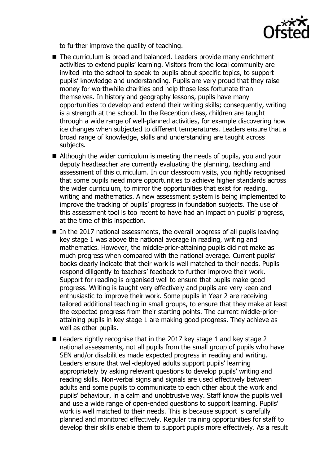

to further improve the quality of teaching.

- The curriculum is broad and balanced. Leaders provide many enrichment activities to extend pupils' learning. Visitors from the local community are invited into the school to speak to pupils about specific topics, to support pupils' knowledge and understanding. Pupils are very proud that they raise money for worthwhile charities and help those less fortunate than themselves. In history and geography lessons, pupils have many opportunities to develop and extend their writing skills; consequently, writing is a strength at the school. In the Reception class, children are taught through a wide range of well-planned activities, for example discovering how ice changes when subjected to different temperatures. Leaders ensure that a broad range of knowledge, skills and understanding are taught across subjects.
- Although the wider curriculum is meeting the needs of pupils, you and your deputy headteacher are currently evaluating the planning, teaching and assessment of this curriculum. In our classroom visits, you rightly recognised that some pupils need more opportunities to achieve higher standards across the wider curriculum, to mirror the opportunities that exist for reading, writing and mathematics. A new assessment system is being implemented to improve the tracking of pupils' progress in foundation subjects. The use of this assessment tool is too recent to have had an impact on pupils' progress, at the time of this inspection.
- In the 2017 national assessments, the overall progress of all pupils leaving key stage 1 was above the national average in reading, writing and mathematics. However, the middle-prior-attaining pupils did not make as much progress when compared with the national average. Current pupils' books clearly indicate that their work is well matched to their needs. Pupils respond diligently to teachers' feedback to further improve their work. Support for reading is organised well to ensure that pupils make good progress. Writing is taught very effectively and pupils are very keen and enthusiastic to improve their work. Some pupils in Year 2 are receiving tailored additional teaching in small groups, to ensure that they make at least the expected progress from their starting points. The current middle-priorattaining pupils in key stage 1 are making good progress. They achieve as well as other pupils.
- Leaders rightly recognise that in the 2017 key stage 1 and key stage 2 national assessments, not all pupils from the small group of pupils who have SEN and/or disabilities made expected progress in reading and writing. Leaders ensure that well-deployed adults support pupils' learning appropriately by asking relevant questions to develop pupils' writing and reading skills. Non-verbal signs and signals are used effectively between adults and some pupils to communicate to each other about the work and pupils' behaviour, in a calm and unobtrusive way. Staff know the pupils well and use a wide range of open-ended questions to support learning. Pupils' work is well matched to their needs. This is because support is carefully planned and monitored effectively. Regular training opportunities for staff to develop their skills enable them to support pupils more effectively. As a result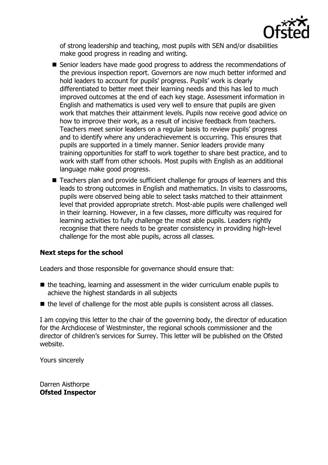

of strong leadership and teaching, most pupils with SEN and/or disabilities make good progress in reading and writing.

- Senior leaders have made good progress to address the recommendations of the previous inspection report. Governors are now much better informed and hold leaders to account for pupils' progress. Pupils' work is clearly differentiated to better meet their learning needs and this has led to much improved outcomes at the end of each key stage. Assessment information in English and mathematics is used very well to ensure that pupils are given work that matches their attainment levels. Pupils now receive good advice on how to improve their work, as a result of incisive feedback from teachers. Teachers meet senior leaders on a regular basis to review pupils' progress and to identify where any underachievement is occurring. This ensures that pupils are supported in a timely manner. Senior leaders provide many training opportunities for staff to work together to share best practice, and to work with staff from other schools. Most pupils with English as an additional language make good progress.
- Teachers plan and provide sufficient challenge for groups of learners and this leads to strong outcomes in English and mathematics. In visits to classrooms, pupils were observed being able to select tasks matched to their attainment level that provided appropriate stretch. Most-able pupils were challenged well in their learning. However, in a few classes, more difficulty was required for learning activities to fully challenge the most able pupils. Leaders rightly recognise that there needs to be greater consistency in providing high-level challenge for the most able pupils, across all classes.

## **Next steps for the school**

Leaders and those responsible for governance should ensure that:

- $\blacksquare$  the teaching, learning and assessment in the wider curriculum enable pupils to achieve the highest standards in all subjects
- $\blacksquare$  the level of challenge for the most able pupils is consistent across all classes.

I am copying this letter to the chair of the governing body, the director of education for the Archdiocese of Westminster, the regional schools commissioner and the director of children's services for Surrey. This letter will be published on the Ofsted website.

Yours sincerely

Darren Aisthorpe **Ofsted Inspector**